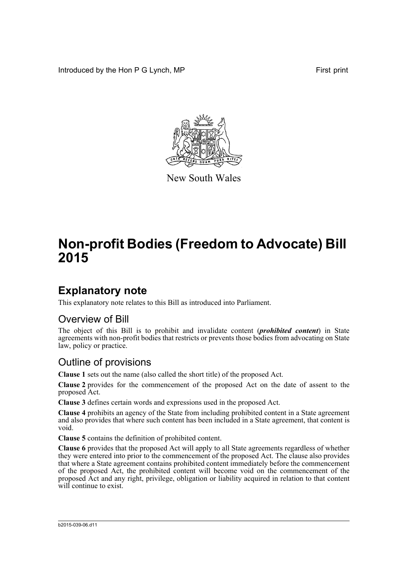Introduced by the Hon P G Lynch, MP First print



New South Wales

# **Non-profit Bodies (Freedom to Advocate) Bill 2015**

### **Explanatory note**

This explanatory note relates to this Bill as introduced into Parliament.

#### Overview of Bill

The object of this Bill is to prohibit and invalidate content (*prohibited content*) in State agreements with non-profit bodies that restricts or prevents those bodies from advocating on State law, policy or practice.

#### Outline of provisions

**Clause 1** sets out the name (also called the short title) of the proposed Act.

**Clause 2** provides for the commencement of the proposed Act on the date of assent to the proposed Act.

**Clause 3** defines certain words and expressions used in the proposed Act.

**Clause 4** prohibits an agency of the State from including prohibited content in a State agreement and also provides that where such content has been included in a State agreement, that content is void.

**Clause 5** contains the definition of prohibited content.

**Clause 6** provides that the proposed Act will apply to all State agreements regardless of whether they were entered into prior to the commencement of the proposed Act. The clause also provides that where a State agreement contains prohibited content immediately before the commencement of the proposed Act, the prohibited content will become void on the commencement of the proposed Act and any right, privilege, obligation or liability acquired in relation to that content will continue to exist.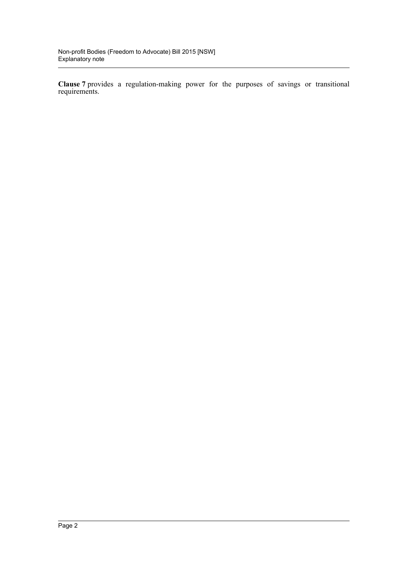**Clause 7** provides a regulation-making power for the purposes of savings or transitional requirements.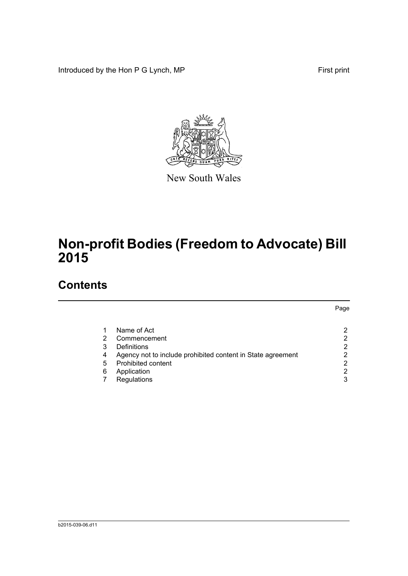Introduced by the Hon P G Lynch, MP First print



New South Wales

## **Non-profit Bodies (Freedom to Advocate) Bill 2015**

## **Contents**

|   |                                                             | Page |
|---|-------------------------------------------------------------|------|
|   |                                                             |      |
|   | Name of Act                                                 | ົ    |
| 2 | Commencement                                                | 2    |
| 3 | Definitions                                                 | 2    |
| 4 | Agency not to include prohibited content in State agreement | 2    |
| 5 | Prohibited content                                          | 2    |
| 6 | Application                                                 | 2    |
|   | Regulations                                                 | 3    |
|   |                                                             |      |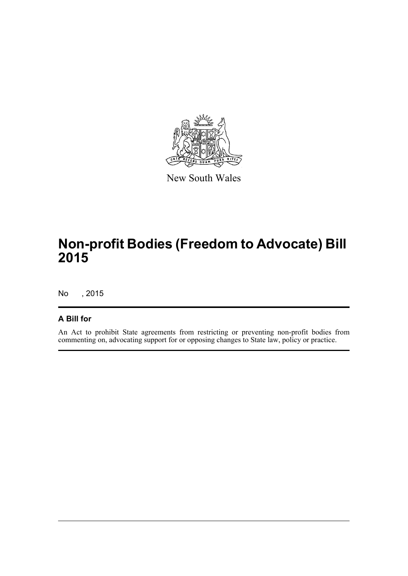

New South Wales

## **Non-profit Bodies (Freedom to Advocate) Bill 2015**

No , 2015

#### **A Bill for**

An Act to prohibit State agreements from restricting or preventing non-profit bodies from commenting on, advocating support for or opposing changes to State law, policy or practice.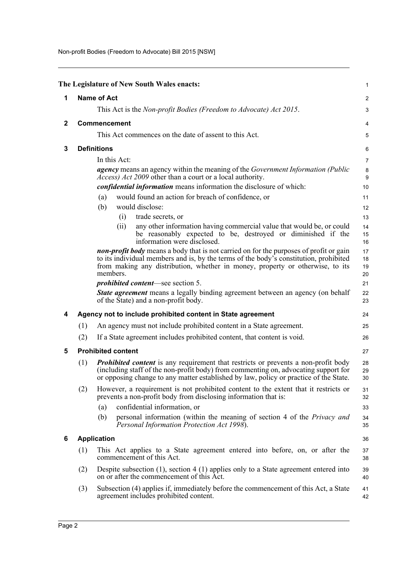Non-profit Bodies (Freedom to Advocate) Bill 2015 [NSW]

<span id="page-4-5"></span><span id="page-4-4"></span><span id="page-4-3"></span><span id="page-4-2"></span><span id="page-4-1"></span><span id="page-4-0"></span>

|              |     | The Legislature of New South Wales enacts:                                                                                                                                                                                                                                          | $\mathbf{1}$         |
|--------------|-----|-------------------------------------------------------------------------------------------------------------------------------------------------------------------------------------------------------------------------------------------------------------------------------------|----------------------|
| 1            |     | <b>Name of Act</b>                                                                                                                                                                                                                                                                  | $\overline{c}$       |
|              |     | This Act is the Non-profit Bodies (Freedom to Advocate) Act 2015.                                                                                                                                                                                                                   | 3                    |
| $\mathbf{2}$ |     | Commencement                                                                                                                                                                                                                                                                        | 4                    |
|              |     | This Act commences on the date of assent to this Act.                                                                                                                                                                                                                               | 5                    |
| 3            |     | <b>Definitions</b>                                                                                                                                                                                                                                                                  | 6                    |
|              |     | In this Act:                                                                                                                                                                                                                                                                        | 7                    |
|              |     | <i>agency</i> means an agency within the meaning of the <i>Government Information (Public</i> )<br><i>Access) Act 2009</i> other than a court or a local authority.                                                                                                                 | $\bf 8$<br>9         |
|              |     | <i>confidential information</i> means information the disclosure of which:                                                                                                                                                                                                          | 10                   |
|              |     | would found an action for breach of confidence, or<br>(a)                                                                                                                                                                                                                           | 11                   |
|              |     | (b)<br>would disclose:                                                                                                                                                                                                                                                              | 12                   |
|              |     | trade secrets, or<br>(i)                                                                                                                                                                                                                                                            | 13                   |
|              |     | any other information having commercial value that would be, or could<br>(ii)<br>be reasonably expected to be, destroyed or diminished if the<br>information were disclosed.                                                                                                        | 14<br>15<br>16       |
|              |     | <b>non-profit body</b> means a body that is not carried on for the purposes of profit or gain<br>to its individual members and is, by the terms of the body's constitution, prohibited<br>from making any distribution, whether in money, property or otherwise, to its<br>members. | 17<br>18<br>19<br>20 |
|              |     | <i>prohibited content</i> —see section 5.                                                                                                                                                                                                                                           | 21                   |
|              |     | <b>State agreement</b> means a legally binding agreement between an agency (on behalf<br>of the State) and a non-profit body.                                                                                                                                                       | 22<br>23             |
| 4            |     | Agency not to include prohibited content in State agreement                                                                                                                                                                                                                         | 24                   |
|              | (1) | An agency must not include prohibited content in a State agreement.                                                                                                                                                                                                                 | 25                   |
|              | (2) | If a State agreement includes prohibited content, that content is void.                                                                                                                                                                                                             | 26                   |
| 5            |     | <b>Prohibited content</b>                                                                                                                                                                                                                                                           | 27                   |
|              | (1) | <b>Prohibited content</b> is any requirement that restricts or prevents a non-profit body<br>(including staff of the non-profit body) from commenting on, advocating support for<br>or opposing change to any matter established by law, policy or practice of the State.           | 28<br>29<br>30       |
|              | (2) | However, a requirement is not prohibited content to the extent that it restricts or<br>prevents a non-profit body from disclosing information that is:                                                                                                                              | 31<br>32             |
|              |     | confidential information, or<br>(a)                                                                                                                                                                                                                                                 | 33                   |
|              |     | personal information (within the meaning of section 4 of the Privacy and<br>(b)<br>Personal Information Protection Act 1998).                                                                                                                                                       | 34<br>35             |
| 6            |     | <b>Application</b>                                                                                                                                                                                                                                                                  | 36                   |
|              | (1) | This Act applies to a State agreement entered into before, on, or after the<br>commencement of this Act.                                                                                                                                                                            | 37<br>38             |
|              | (2) | Despite subsection $(1)$ , section $(4)$ applies only to a State agreement entered into<br>on or after the commencement of this Act.                                                                                                                                                | 39<br>40             |
|              | (3) | Subsection (4) applies if, immediately before the commencement of this Act, a State<br>agreement includes prohibited content.                                                                                                                                                       | 41<br>42             |